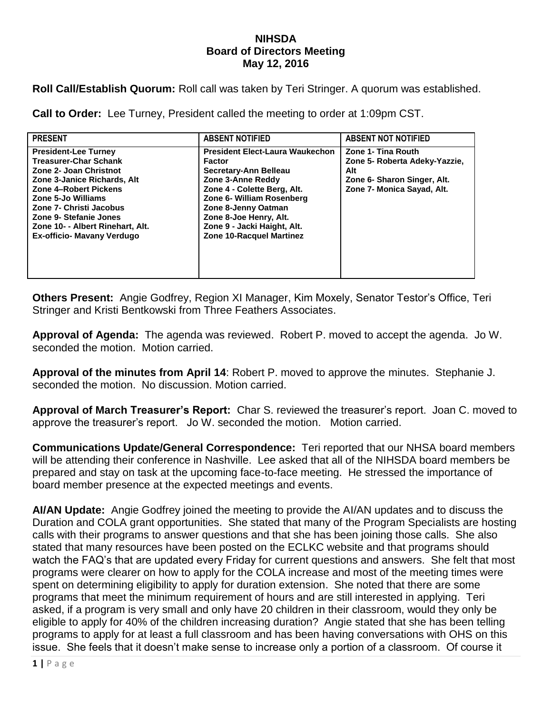## **NIHSDA Board of Directors Meeting May 12, 2016**

**Roll Call/Establish Quorum:** Roll call was taken by Teri Stringer. A quorum was established.

**Call to Order:** Lee Turney, President called the meeting to order at 1:09pm CST.

| <b>PRESENT</b>                                                                                                                                                                                                                                                                                    | <b>ABSENT NOTIFIED</b>                                                                                                                                                                                                                                                        | <b>ABSENT NOT NOTIFIED</b>                                                                                              |
|---------------------------------------------------------------------------------------------------------------------------------------------------------------------------------------------------------------------------------------------------------------------------------------------------|-------------------------------------------------------------------------------------------------------------------------------------------------------------------------------------------------------------------------------------------------------------------------------|-------------------------------------------------------------------------------------------------------------------------|
| <b>President-Lee Turney</b><br><b>Treasurer-Char Schank</b><br>Zone 2- Joan Christnot<br>Zone 3-Janice Richards, Alt<br>Zone 4-Robert Pickens<br>Zone 5-Jo Williams<br>Zone 7- Christi Jacobus<br>Zone 9- Stefanie Jones<br>Zone 10- - Albert Rinehart, Alt.<br><b>Ex-officio- Mavany Verdugo</b> | <b>President Elect-Laura Waukechon</b><br><b>Factor</b><br>Secretary-Ann Belleau<br>Zone 3-Anne Reddy<br>Zone 4 - Colette Berg, Alt.<br>Zone 6- William Rosenberg<br>Zone 8-Jenny Oatman<br>Zone 8-Joe Henry, Alt.<br>Zone 9 - Jacki Haight, Alt.<br>Zone 10-Racquel Martinez | Zone 1- Tina Routh<br>Zone 5- Roberta Adeky-Yazzie,<br>Alt<br>Zone 6- Sharon Singer, Alt.<br>Zone 7- Monica Sayad, Alt. |

**Others Present:** Angie Godfrey, Region XI Manager, Kim Moxely, Senator Testor's Office, Teri Stringer and Kristi Bentkowski from Three Feathers Associates.

**Approval of Agenda:** The agenda was reviewed. Robert P. moved to accept the agenda. Jo W. seconded the motion. Motion carried.

**Approval of the minutes from April 14**: Robert P. moved to approve the minutes. Stephanie J. seconded the motion. No discussion. Motion carried.

**Approval of March Treasurer's Report:** Char S. reviewed the treasurer's report. Joan C. moved to approve the treasurer's report. Jo W. seconded the motion. Motion carried.

**Communications Update/General Correspondence:** Teri reported that our NHSA board members will be attending their conference in Nashville. Lee asked that all of the NIHSDA board members be prepared and stay on task at the upcoming face-to-face meeting. He stressed the importance of board member presence at the expected meetings and events.

**AI/AN Update:** Angie Godfrey joined the meeting to provide the AI/AN updates and to discuss the Duration and COLA grant opportunities. She stated that many of the Program Specialists are hosting calls with their programs to answer questions and that she has been joining those calls. She also stated that many resources have been posted on the ECLKC website and that programs should watch the FAQ's that are updated every Friday for current questions and answers. She felt that most programs were clearer on how to apply for the COLA increase and most of the meeting times were spent on determining eligibility to apply for duration extension. She noted that there are some programs that meet the minimum requirement of hours and are still interested in applying. Teri asked, if a program is very small and only have 20 children in their classroom, would they only be eligible to apply for 40% of the children increasing duration? Angie stated that she has been telling programs to apply for at least a full classroom and has been having conversations with OHS on this issue. She feels that it doesn't make sense to increase only a portion of a classroom. Of course it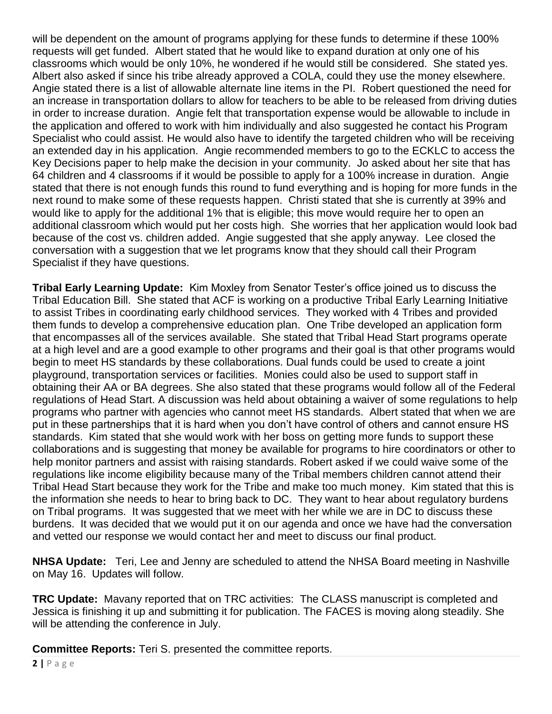will be dependent on the amount of programs applying for these funds to determine if these 100% requests will get funded. Albert stated that he would like to expand duration at only one of his classrooms which would be only 10%, he wondered if he would still be considered. She stated yes. Albert also asked if since his tribe already approved a COLA, could they use the money elsewhere. Angie stated there is a list of allowable alternate line items in the PI. Robert questioned the need for an increase in transportation dollars to allow for teachers to be able to be released from driving duties in order to increase duration. Angie felt that transportation expense would be allowable to include in the application and offered to work with him individually and also suggested he contact his Program Specialist who could assist. He would also have to identify the targeted children who will be receiving an extended day in his application. Angie recommended members to go to the ECKLC to access the Key Decisions paper to help make the decision in your community. Jo asked about her site that has 64 children and 4 classrooms if it would be possible to apply for a 100% increase in duration. Angie stated that there is not enough funds this round to fund everything and is hoping for more funds in the next round to make some of these requests happen. Christi stated that she is currently at 39% and would like to apply for the additional 1% that is eligible; this move would require her to open an additional classroom which would put her costs high. She worries that her application would look bad because of the cost vs. children added. Angie suggested that she apply anyway. Lee closed the conversation with a suggestion that we let programs know that they should call their Program Specialist if they have questions.

**Tribal Early Learning Update:** Kim Moxley from Senator Tester's office joined us to discuss the Tribal Education Bill. She stated that ACF is working on a productive Tribal Early Learning Initiative to assist Tribes in coordinating early childhood services. They worked with 4 Tribes and provided them funds to develop a comprehensive education plan. One Tribe developed an application form that encompasses all of the services available. She stated that Tribal Head Start programs operate at a high level and are a good example to other programs and their goal is that other programs would begin to meet HS standards by these collaborations. Dual funds could be used to create a joint playground, transportation services or facilities. Monies could also be used to support staff in obtaining their AA or BA degrees. She also stated that these programs would follow all of the Federal regulations of Head Start. A discussion was held about obtaining a waiver of some regulations to help programs who partner with agencies who cannot meet HS standards. Albert stated that when we are put in these partnerships that it is hard when you don't have control of others and cannot ensure HS standards. Kim stated that she would work with her boss on getting more funds to support these collaborations and is suggesting that money be available for programs to hire coordinators or other to help monitor partners and assist with raising standards. Robert asked if we could waive some of the regulations like income eligibility because many of the Tribal members children cannot attend their Tribal Head Start because they work for the Tribe and make too much money. Kim stated that this is the information she needs to hear to bring back to DC. They want to hear about regulatory burdens on Tribal programs. It was suggested that we meet with her while we are in DC to discuss these burdens. It was decided that we would put it on our agenda and once we have had the conversation and vetted our response we would contact her and meet to discuss our final product.

**NHSA Update:** Teri, Lee and Jenny are scheduled to attend the NHSA Board meeting in Nashville on May 16. Updates will follow.

**TRC Update:** Mavany reported that on TRC activities: The CLASS manuscript is completed and Jessica is finishing it up and submitting it for publication. The FACES is moving along steadily. She will be attending the conference in July.

**Committee Reports:** Teri S. presented the committee reports.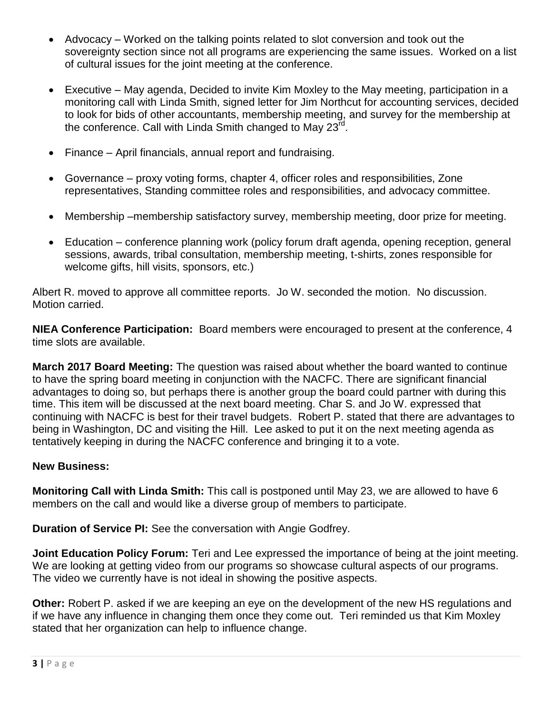- Advocacy Worked on the talking points related to slot conversion and took out the sovereignty section since not all programs are experiencing the same issues. Worked on a list of cultural issues for the joint meeting at the conference.
- Executive May agenda, Decided to invite Kim Moxley to the May meeting, participation in a monitoring call with Linda Smith, signed letter for Jim Northcut for accounting services, decided to look for bids of other accountants, membership meeting, and survey for the membership at the conference. Call with Linda Smith changed to May 23 $^{\rm{rd}}$ .
- Finance April financials, annual report and fundraising.
- Governance proxy voting forms, chapter 4, officer roles and responsibilities, Zone representatives, Standing committee roles and responsibilities, and advocacy committee.
- Membership –membership satisfactory survey, membership meeting, door prize for meeting.
- Education conference planning work (policy forum draft agenda, opening reception, general sessions, awards, tribal consultation, membership meeting, t-shirts, zones responsible for welcome gifts, hill visits, sponsors, etc.)

Albert R. moved to approve all committee reports. Jo W. seconded the motion. No discussion. Motion carried.

**NIEA Conference Participation:** Board members were encouraged to present at the conference, 4 time slots are available.

**March 2017 Board Meeting:** The question was raised about whether the board wanted to continue to have the spring board meeting in conjunction with the NACFC. There are significant financial advantages to doing so, but perhaps there is another group the board could partner with during this time. This item will be discussed at the next board meeting. Char S. and Jo W. expressed that continuing with NACFC is best for their travel budgets. Robert P. stated that there are advantages to being in Washington, DC and visiting the Hill. Lee asked to put it on the next meeting agenda as tentatively keeping in during the NACFC conference and bringing it to a vote.

## **New Business:**

**Monitoring Call with Linda Smith:** This call is postponed until May 23, we are allowed to have 6 members on the call and would like a diverse group of members to participate.

**Duration of Service PI:** See the conversation with Angie Godfrey.

**Joint Education Policy Forum:** Teri and Lee expressed the importance of being at the joint meeting. We are looking at getting video from our programs so showcase cultural aspects of our programs. The video we currently have is not ideal in showing the positive aspects.

**Other:** Robert P. asked if we are keeping an eye on the development of the new HS regulations and if we have any influence in changing them once they come out. Teri reminded us that Kim Moxley stated that her organization can help to influence change.